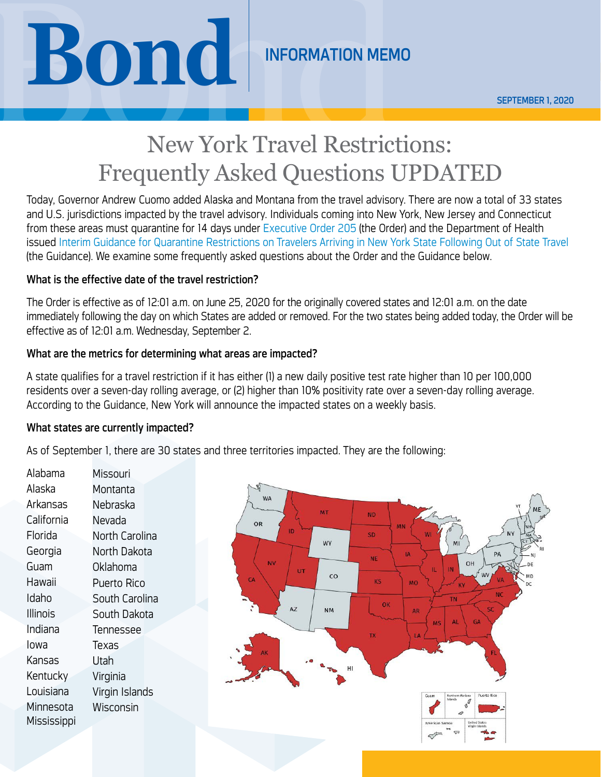**Bond SEPTEMBER 1,2020**<br>
New York Travel Restrictions:<br>
Frequently Asked Ouestions IPDATED

# New York Travel Restrictions: Frequently Asked Questions UPDATED

Today, Governor Andrew Cuomo added Alaska and Montana from the travel advisory. There are now a total of 33 states and U.S. jurisdictions impacted by the travel advisory. Individuals coming into New York, New Jersey and Connecticut from these areas must quarantine for 14 days under [Executive Order 205](https://www.governor.ny.gov/news/no-205-quarantine-restrictions-travelers-arriving-new-york) (the Order) and the Department of Health issued [Interim Guidance for Quarantine Restrictions on Travelers Arriving in New York State Following Out of State Travel](https://coronavirus.health.ny.gov/system/files/documents/2020/06/interimguidance_traveladvisory.pdf) (the Guidance). We examine some frequently asked questions about the Order and the Guidance below.

# What is the effective date of the travel restriction?

The Order is effective as of 12:01 a.m. on June 25, 2020 for the originally covered states and 12:01 a.m. on the date immediately following the day on which States are added or removed. For the two states being added today, the Order will be effective as of 12:01 a.m. Wednesday, September 2.

# What are the metrics for determining what areas are impacted?

A state qualifies for a travel restriction if it has either (1) a new daily positive test rate higher than 10 per 100,000 residents over a seven-day rolling average, or (2) higher than 10% positivity rate over a seven-day rolling average. According to the Guidance, New York will announce the impacted states on a weekly basis.

## What states are currently impacted?

As of September 1, there are 30 states and three territories impacted. They are the following:

Alabama Alaska Arkansas California Florida Georgia Guam Hawaii Idaho Illinois Indiana Iowa Kansas **Kentucky** Louisiana Minnesota Mississippi Missouri **Montanta** Nebraska Nevada North Carolina North Dakota Oklahoma Puerto Rico South Carolina South Dakota Tennessee Texas Utah Virginia Virgin Islands Wisconsin

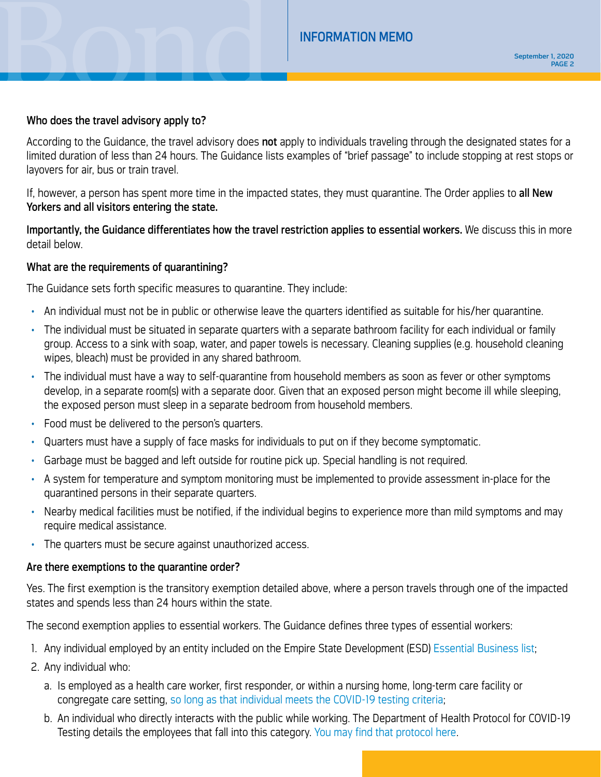### Who does the travel advisory apply to?

According to the Guidance, the travel advisory does not apply to individuals traveling through the designated states for a limited duration of less than 24 hours. The Guidance lists examples of "brief passage" to include stopping at rest stops or layovers for air, bus or train travel.

If, however, a person has spent more time in the impacted states, they must quarantine. The Order applies to all New Yorkers and all visitors entering the state.

Importantly, the Guidance differentiates how the travel restriction applies to essential workers. We discuss this in more detail below.

## What are the requirements of quarantining?

The Guidance sets forth specific measures to quarantine. They include:

- An individual must not be in public or otherwise leave the quarters identified as suitable for his/her quarantine.
- The individual must be situated in separate quarters with a separate bathroom facility for each individual or family group. Access to a sink with soap, water, and paper towels is necessary. Cleaning supplies (e.g. household cleaning wipes, bleach) must be provided in any shared bathroom.
- The individual must have a way to self-quarantine from household members as soon as fever or other symptoms develop, in a separate room(s) with a separate door. Given that an exposed person might become ill while sleeping, the exposed person must sleep in a separate bedroom from household members.
- Food must be delivered to the person's quarters.
- Quarters must have a supply of face masks for individuals to put on if they become symptomatic.
- Garbage must be bagged and left outside for routine pick up. Special handling is not required.
- A system for temperature and symptom monitoring must be implemented to provide assessment in-place for the quarantined persons in their separate quarters.
- Nearby medical facilities must be notified, if the individual begins to experience more than mild symptoms and may require medical assistance.
- The quarters must be secure against unauthorized access.

#### Are there exemptions to the quarantine order?

Yes. The first exemption is the transitory exemption detailed above, where a person travels through one of the impacted states and spends less than 24 hours within the state.

The second exemption applies to essential workers. The Guidance defines three types of essential workers:

- 1. Any individual employed by an entity included on the Empire State Development (ESD) [Essential Business list;](https://esd.ny.gov/guidance-executive-order-2026)
- 2. Any individual who:
	- a. Is employed as a health care worker, first responder, or within a nursing home, long-term care facility or congregate care setting, [so long as that individual meets the COVID-19 testing criteria;](https://coronavirus.health.ny.gov/system/files/documents/2020/06/doh_covid19_revisedtestingprotocol_053120.pdf)
	- b. An individual who directly interacts with the public while working. The Department of Health Protocol for COVID-19 Testing details the employees that fall into this category. [You may find that protocol here.](https://coronavirus.health.ny.gov/system/files/documents/2020/06/doh_covid19_revisedtestingprotocol_053120.pdf)